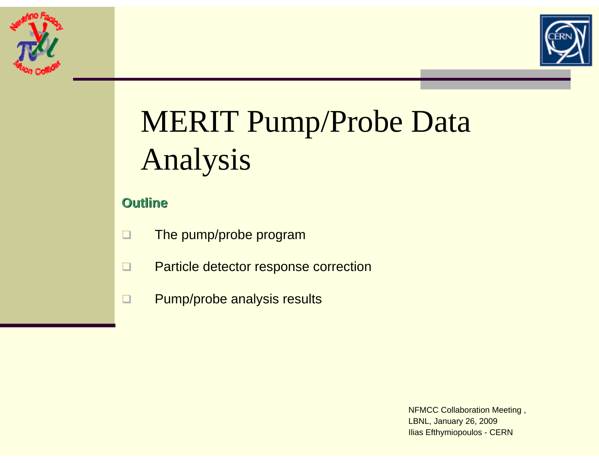



# MERIT Pump/Probe Data Analysis

## **Outline Outline**

- $\Box$ The pump/probe program
- $\Box$ Particle detector response correction
- $\Box$ Pump/probe analysis results

NFMCC Collaboration Meeting , LBNL, January 26, 2009 Ilias Efthymiopoulos - CERN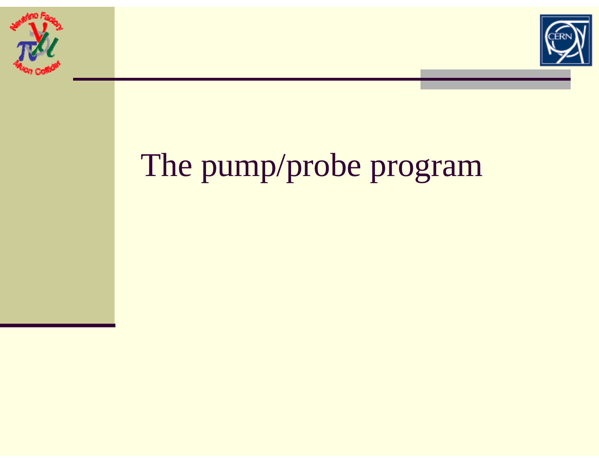



# The pump/probe program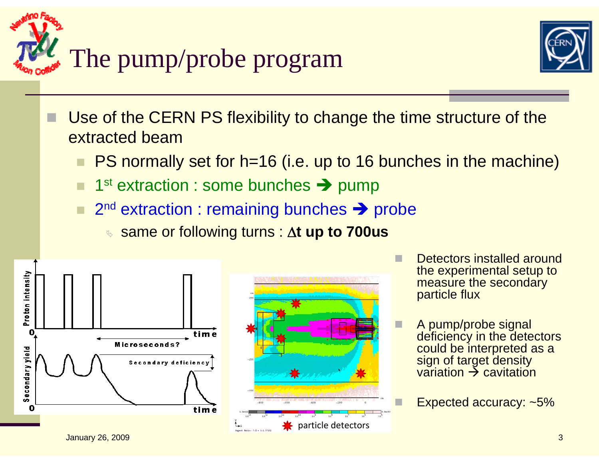



- Use of the CERN PS flexibility to change the time structure of the extracted beam
	- PS normally set for h=16 (i.e. up to 16 bunches in the machine)
	- 1st extraction : some bunches Î pump
	- 2<sup>nd</sup> extraction : remaining bunches → probe
		- <sup>ª</sup> same or following turns : Δ**t up to 700us**





- П Detectors installed around the experimental setup to measure the secondary particle flux
- A pump/probe signal deficiency in the detectors could be interpreted as a sign of target density variation → cavitation

Expected accuracy: ~5%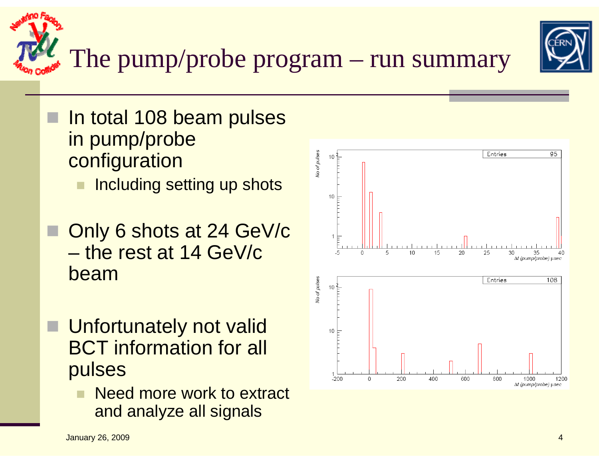

The pump/probe program – run summary

- П In total 108 beam pulses in pump/probe configuration
	- Including setting up shots
- Only 6 shots at 24 GeV/c – the rest at 14 GeV/c beam
- **Unfortunately not valid** BCT information for all pulses
	- Need more work to extract and analyze all signals



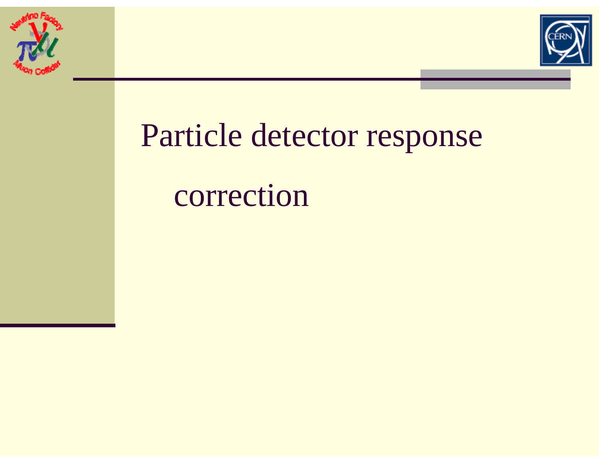



# Particle detector response correction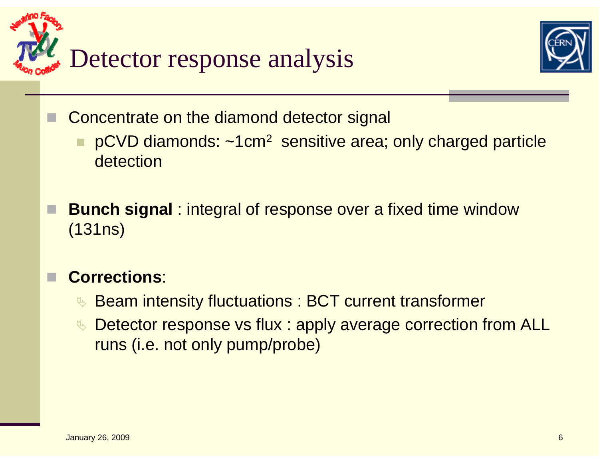



Concentrate on the diamond detector signal

- **pCVD diamonds: ~1cm<sup>2</sup> sensitive area; only charged particle** detection
- **Bunch signal** : integral of response over a fixed time window (131ns)

#### П **Corrections**:

- <sup>•</sup> Beam intensity fluctuations : BCT current transformer
- ↓ Detector response vs flux : apply average correction from ALL runs (i.e. not only pump/probe)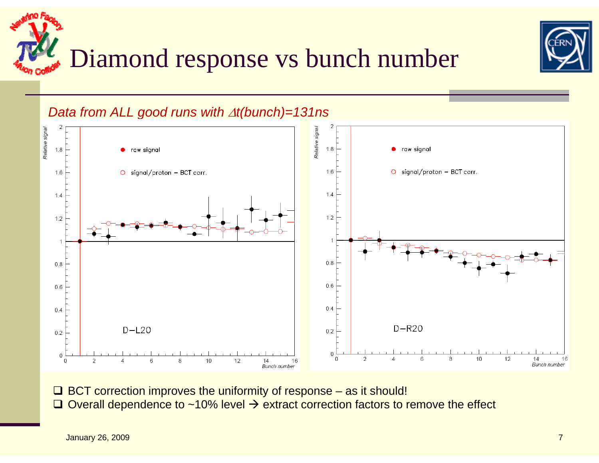



*Data from ALL good runs with*  Δ*t(bunch)=131ns*



 $\Box$  BCT correction improves the uniformity of response  $-$  as it should!  $\Box$  Overall dependence to ~10% level  $\rightarrow$  extract correction factors to remove the effect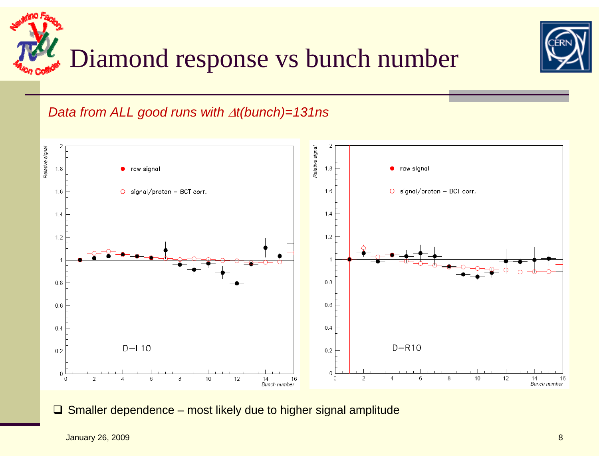



## *Data from ALL good runs with*  Δ*t(bunch)=131ns*



 $\Box$  Smaller dependence – most likely due to higher signal amplitude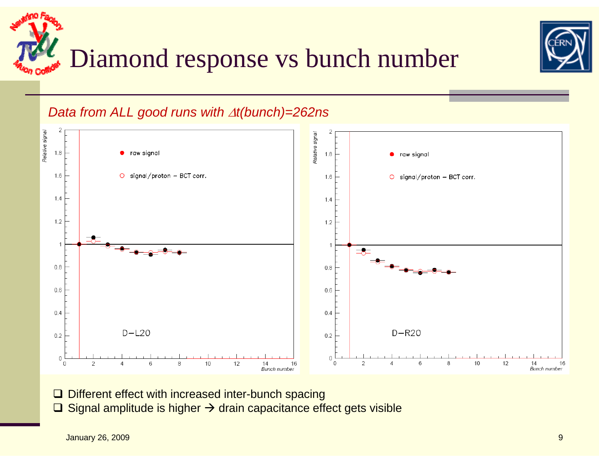



## *Data from ALL good runs with*  Δ*t(bunch)=262ns*



- **□ Different effect with increased inter-bunch spacing**
- $\Box$  Signal amplitude is higher  $\rightarrow$  drain capacitance effect gets visible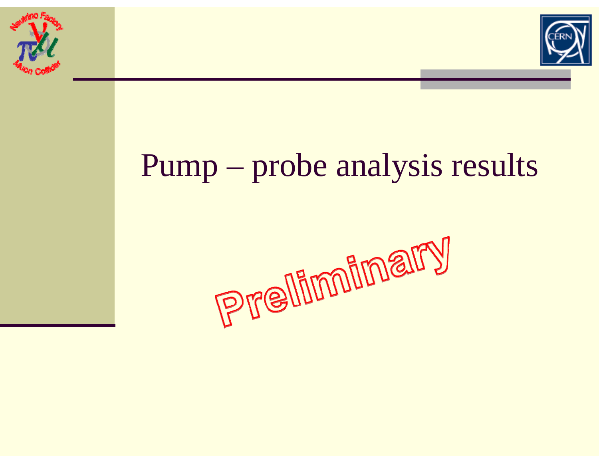



## Pump – probe analysis results

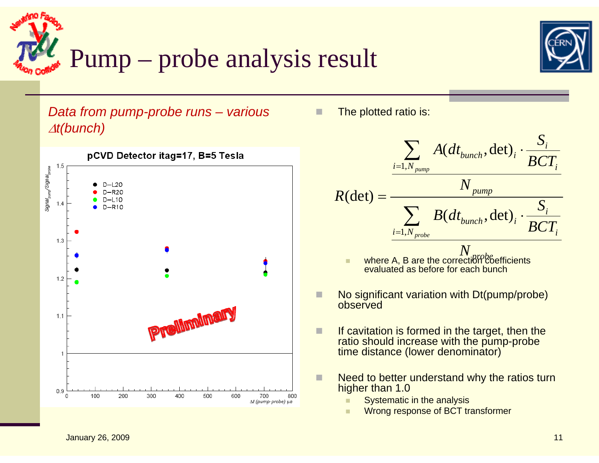



*Data from pump-probe runs – various*  Δ*t(bunch)*



П The plotted ratio is:



evaluated as before for each bunch

- П No significant variation with Dt(pump/probe) observed
- П If cavitation is formed in the target, then the ratio should increase with the pump-probe time distance (lower denominator)
- п Need to better understand why the ratios turn higher than 1.0
	- ٠ Systematic in the analysis
	- ٠ Wrong response of BCT transformer